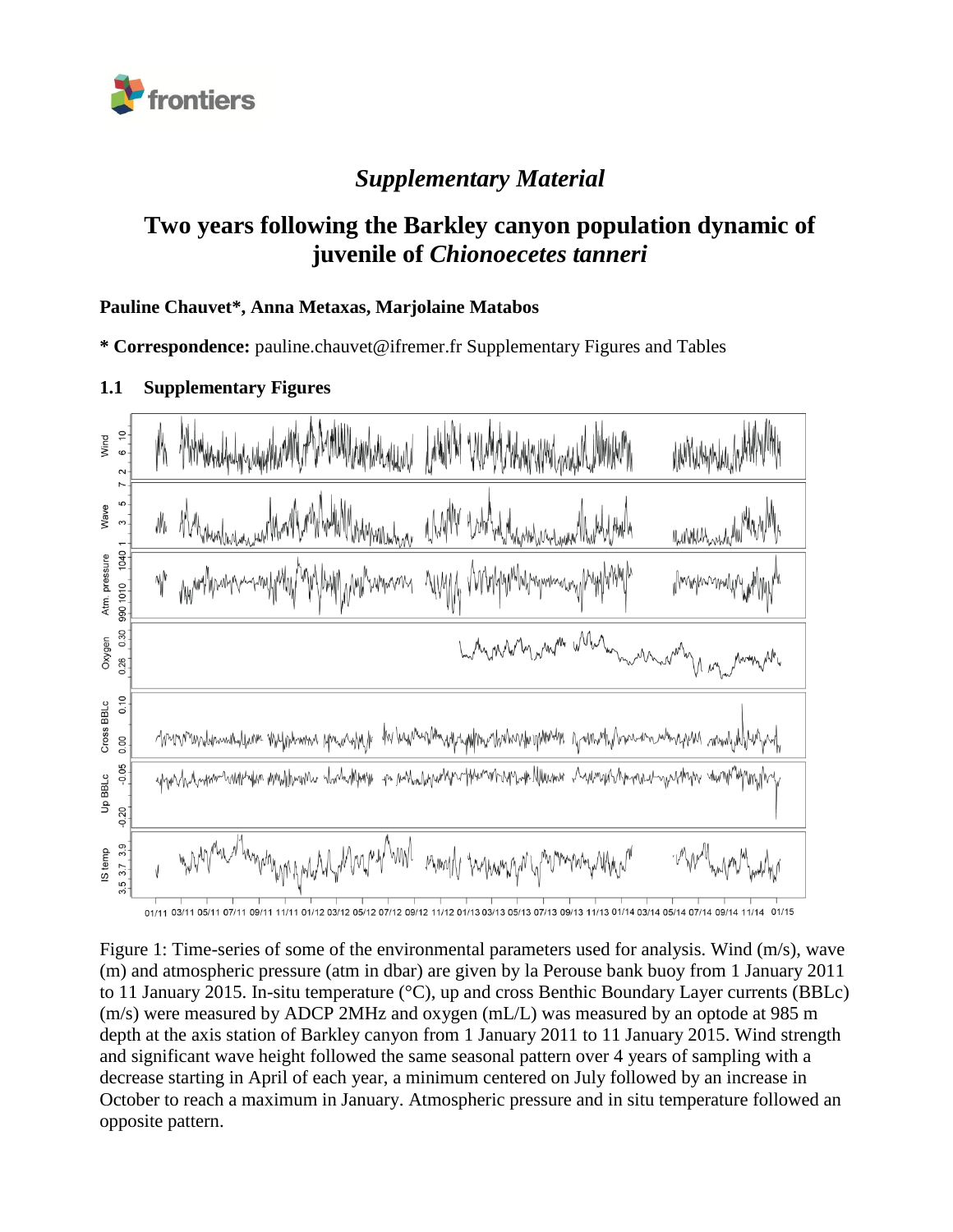

# *Supplementary Material*

# **Two years following the Barkley canyon population dynamic of juvenile of** *Chionoecetes tanneri*

#### **Pauline Chauvet\*, Anna Metaxas, Marjolaine Matabos**

**\* Correspondence:** pauline.chauvet@ifremer.fr Supplementary Figures and Tables

## **1.1 Supplementary Figures**



Figure 1: Time-series of some of the environmental parameters used for analysis. Wind (m/s), wave (m) and atmospheric pressure (atm in dbar) are given by la Perouse bank buoy from 1 January 2011 to 11 January 2015. In-situ temperature (°C), up and cross Benthic Boundary Layer currents (BBLc) (m/s) were measured by ADCP 2MHz and oxygen (mL/L) was measured by an optode at 985 m depth at the axis station of Barkley canyon from 1 January 2011 to 11 January 2015. Wind strength and significant wave height followed the same seasonal pattern over 4 years of sampling with a decrease starting in April of each year, a minimum centered on July followed by an increase in October to reach a maximum in January. Atmospheric pressure and in situ temperature followed an opposite pattern.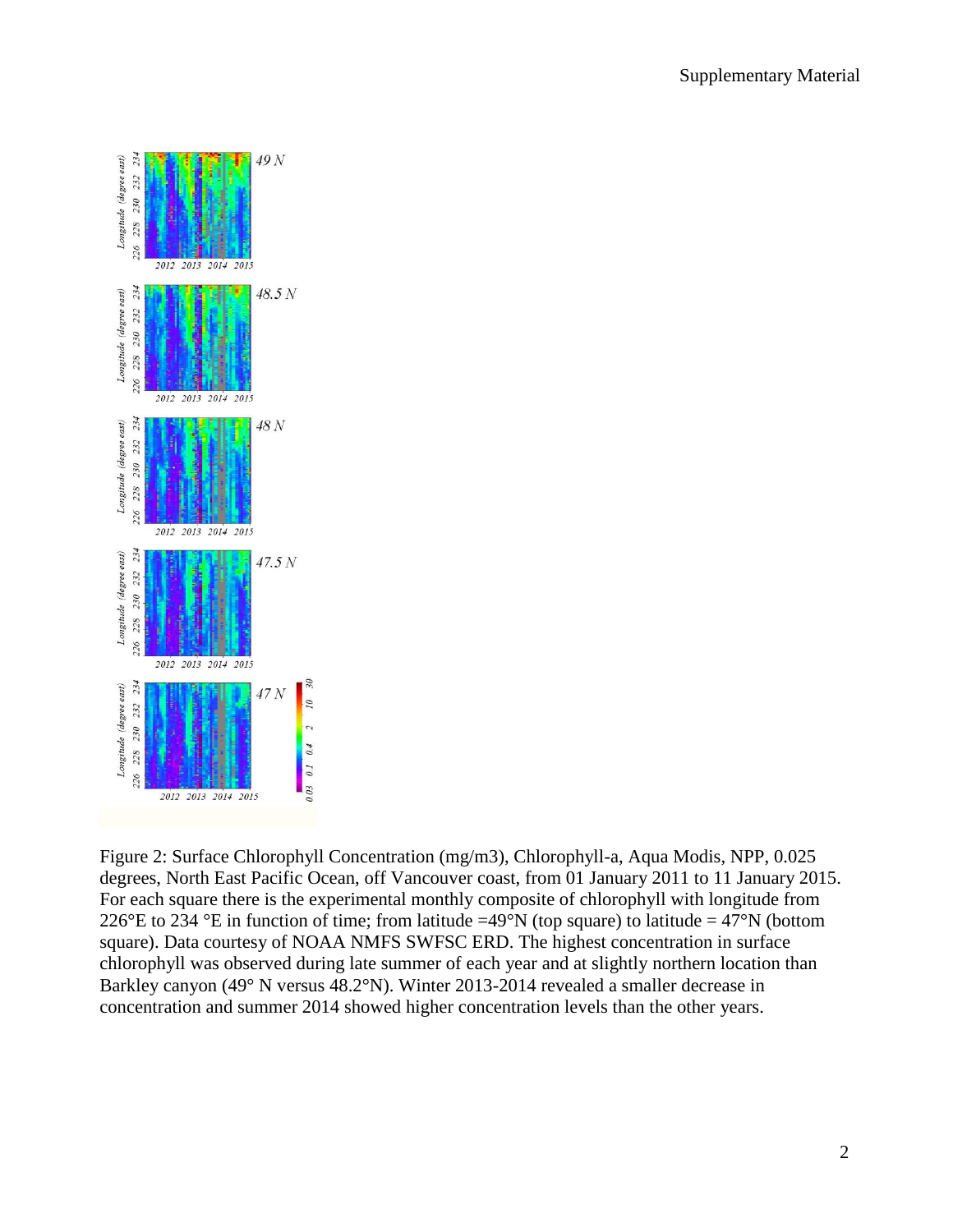

Figure 2: Surface Chlorophyll Concentration (mg/m3), Chlorophyll-a, Aqua Modis, NPP, 0.025 degrees, North East Pacific Ocean, off Vancouver coast, from 01 January 2011 to 11 January 2015. For each square there is the experimental monthly composite of chlorophyll with longitude from 226°E to 234 °E in function of time; from latitude =49°N (top square) to latitude = 47°N (bottom square). Data courtesy of NOAA NMFS SWFSC ERD. The highest concentration in surface chlorophyll was observed during late summer of each year and at slightly northern location than Barkley canyon (49° N versus 48.2°N). Winter 2013-2014 revealed a smaller decrease in concentration and summer 2014 showed higher concentration levels than the other years.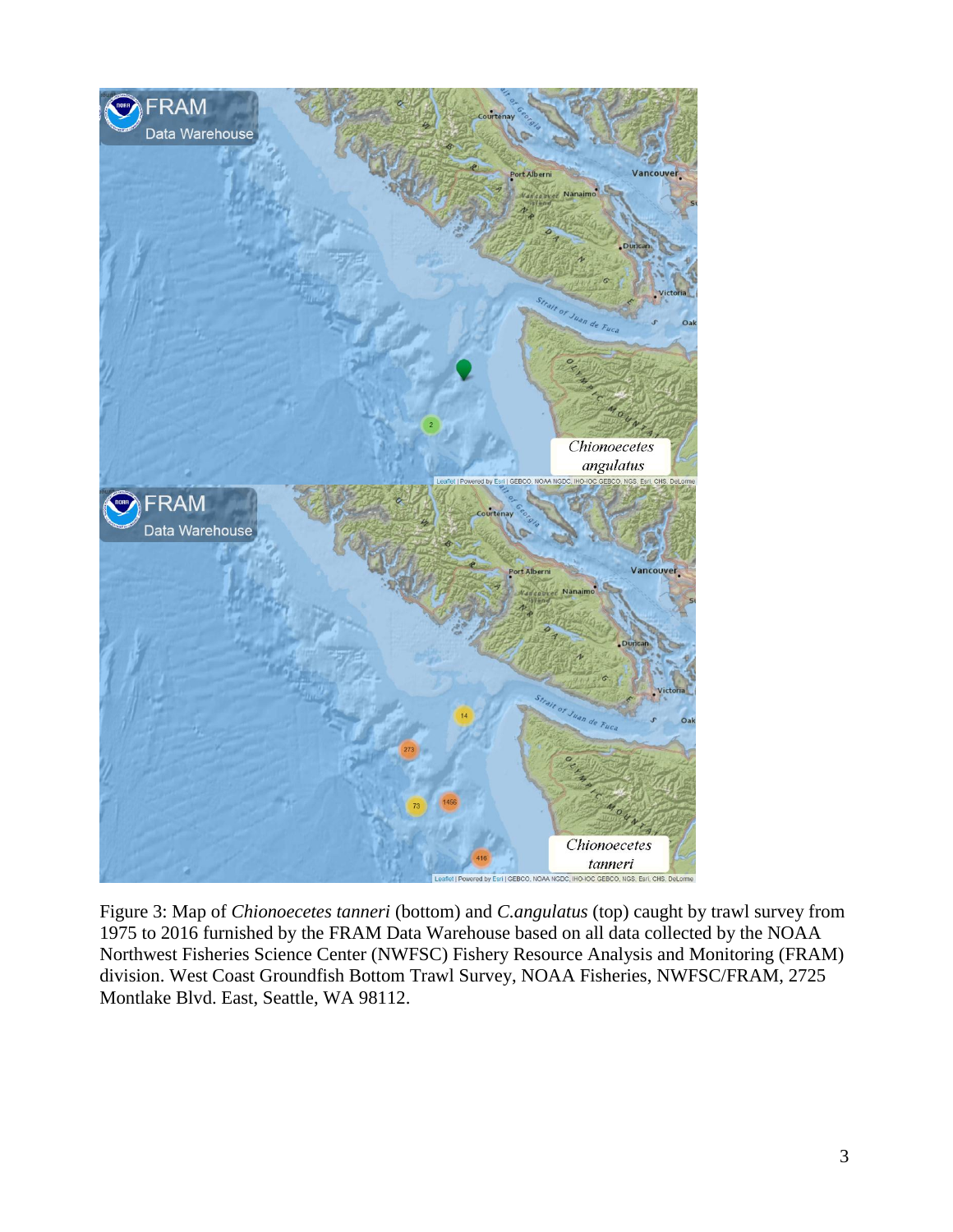

Figure 3: Map of *Chionoecetes tanneri* (bottom) and *C.angulatus* (top) caught by trawl survey from 1975 to 2016 furnished by the FRAM Data Warehouse based on all data collected by the NOAA Northwest Fisheries Science Center (NWFSC) Fishery Resource Analysis and Monitoring (FRAM) division. West Coast Groundfish Bottom Trawl Survey, NOAA Fisheries, NWFSC/FRAM, 2725 Montlake Blvd. East, Seattle, WA 98112.